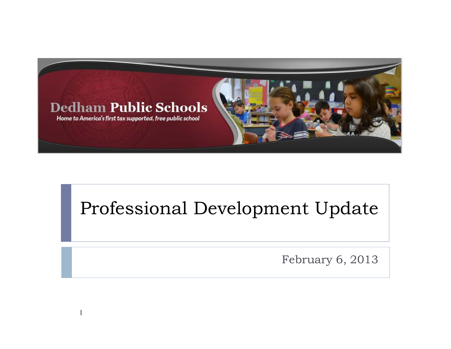

## Professional Development Update

February 6, 2013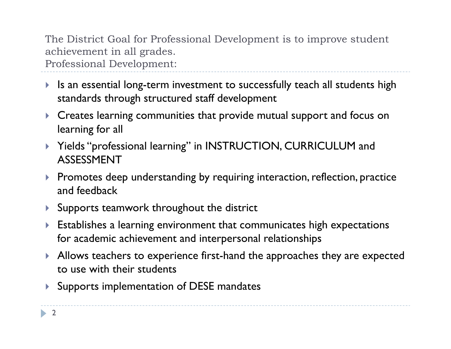The District Goal for Professional Development is to improve student achievement in all grades. Professional Development:

- $\blacktriangleright$  Is an essential long-term investment to successfully teach all students high standards through structured staff development
- $\blacktriangleright$  Creates learning communities that provide mutual support and focus on learning for all
- $\blacktriangleright$  Yields "professional learning" in INSTRUCTION, CURRICULUM and ASSESSMENT
- $\blacktriangleright$  Promotes deep understanding by requiring interaction, reflection, practice and feedback
- $\blacktriangleright$  Supports teamwork throughout the district
- $\blacktriangleright$  Establishes a learning environment that communicates high expectations for academic achievement and interpersonal relationships
- $\blacktriangleright$  Allows teachers to experience first-hand the approaches they are expected to use with their students
- $\blacktriangleright$ Supports implementation of DESE mandates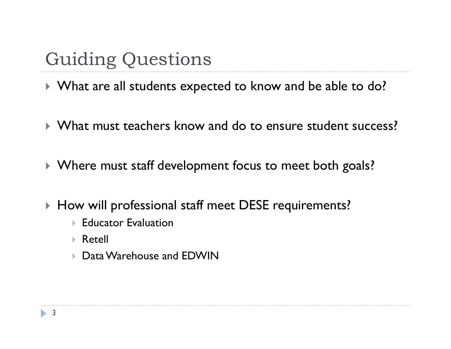# Guiding Questions

 $\blacktriangleright$  What are all students expected to know and be able to do?

- ` What must teachers know and do to ensure student success?
- $\blacktriangleright$  Where must staff development focus to meet both goals?
- $\blacktriangleright$  How will professional staff meet DESE requirements?
	- $\blacktriangleright$  Educator Evaluation
	- $\triangleright$  Retell
	- $\triangleright$  Data Warehouse and EDWIN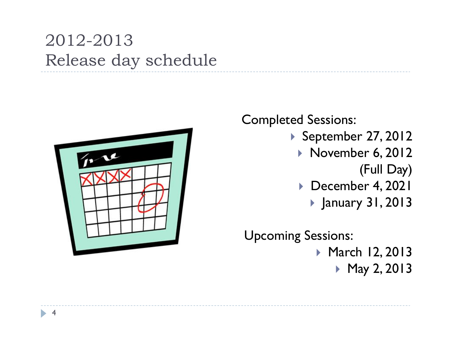## 2012-2013 Release day schedule



Completed Sessions:

- ` September 27, 2012
	- ` November 6, 2012 (Full Day)
	- ` December 4, 2021
		- ` January 31, 2013

Upcoming Sessions: ▶ March 12, 2013 ` May 2, 2013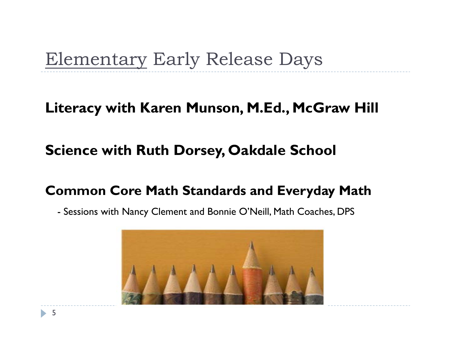# Elementary Early Release Days

#### **Literacy with Karen Munson, M.Ed., McGraw Hill**

### **Science with Ruth Dorsey, Oakdale School**

#### **Common Core Math Standards and Everyday Math**

- Sessions with Nancy Clement and Bonnie O'Neill, Math Coaches, DPS

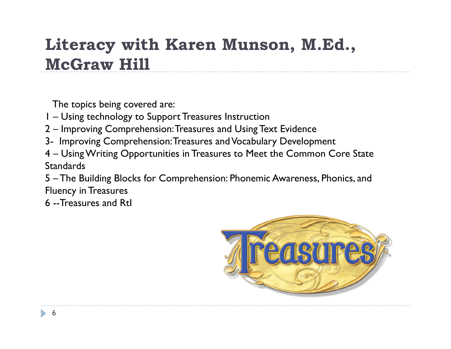## **Literacy with Karen Munson, M.Ed., McGraw Hill**

The topics being covered are:

- 1 Using technology to Support Treasures Instruction
- 2 Improving Comprehension: Treasures and Using Text Evidence
- 3- Improving Comprehension: Treasures and Vocabulary Development
- 4 Using Writing Opportunities in Treasures to Meet the Common Core State **Standards**
- 5 The Building Blocks for Comprehension: Phonemic Awareness, Phonics, and Fluency in Treasures
- 6 --Treasures and RtI

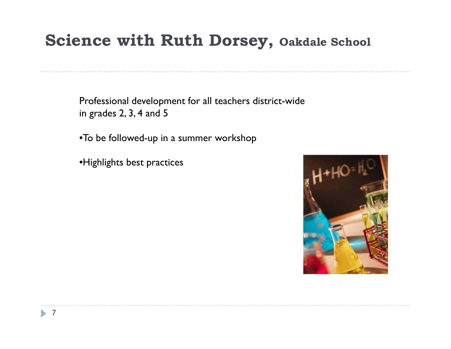### **Science with Ruth Dorsey, Oakdale School**

Professional development for all teachers district-wide in grades 2, 3, 4 and 5

•To be followed-up in a summer workshop

•Highlights best practices

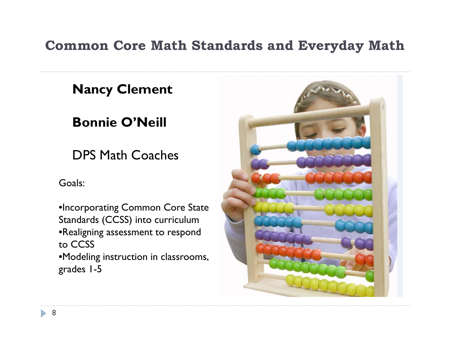#### **Common Core Math Standards and Everyday Math**

#### **Nancy Clement**

### **Bonnie O'Neill**

DPS Math Coaches

Goals:

•Incorporating Common Core State Standards (CCSS) into curriculum •Realigning assessment to respond to CCSS•Modeling instruction in classrooms, grades 1-5

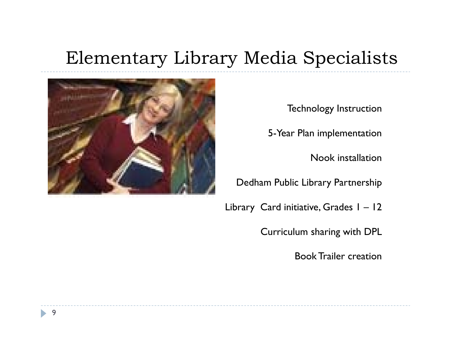# Elementary Library Media Specialists



Technology Instruction

5-Year Plan implementation

Nook installation

Dedham Public Library Partnership

Library Card initiative, Grades 1 – 12

Curriculum sharing with DPL

Book Trailer creation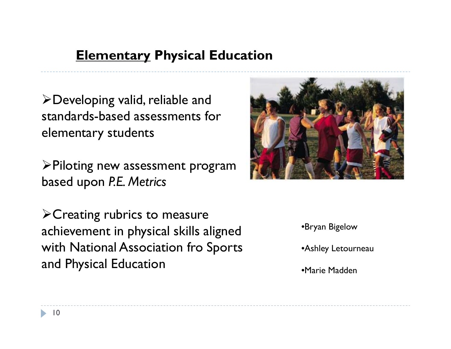#### **Elementary Physical Education**

¾Developing valid, reliable and standards-based assessments for elementary students

¾Piloting new assessment program based upon *P.E. Metrics*

 $\triangleright$  Creating rubrics to measure achievement in physical skills aligned with National Association fro Sports and Physical Education



•Bryan Bigelow

•Ashley Letourneau

•Marie Madden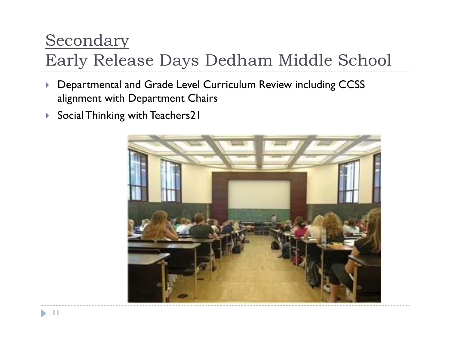### Secondary

# Early Release Days Dedham Middle School

- $\blacktriangleright$  Departmental and Grade Level Curriculum Review including CCSS alignment with Department Chairs
- $\blacktriangleright$ Social Thinking with Teachers21

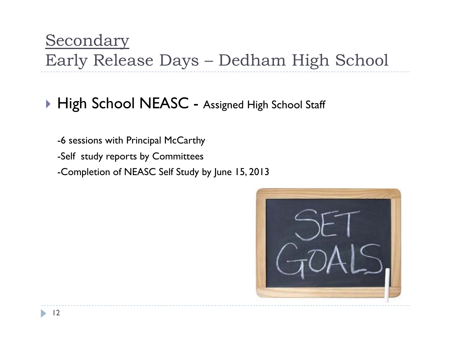## $\blacktriangleright$  High School NEASC - Assigned High School Staff

-6 sessions with Principal McCarthy

-Self study reports by Committees

-Completion of NEASC Self Study by June 15, 2013

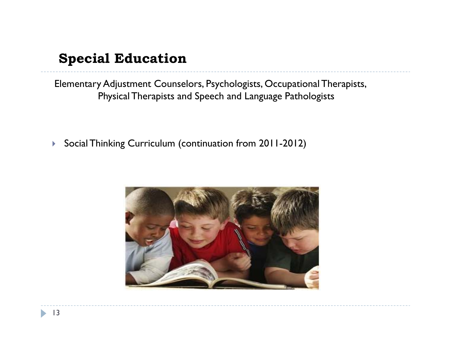#### **Special Education**

Elementary Adjustment Counselors, Psychologists, Occupational Therapists, Physical Therapists and Speech and Language Pathologists

 $\blacktriangleright$ Social Thinking Curriculum (continuation from 2011-2012)

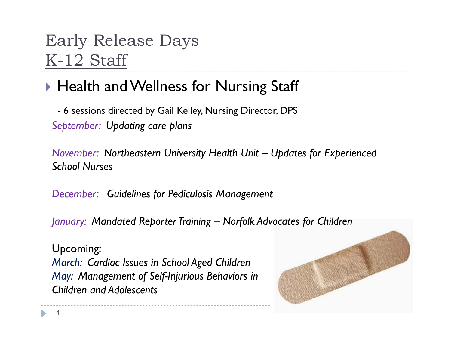## Early Release Days K-12 Staff

### $\blacktriangleright$  Health and Wellness for Nursing Staff

- 6 sessions directed by Gail Kelley, Nursing Director, DPS *September: Updating care plans*

*November: Northeastern University Health Unit – Updates for Experienced School Nurses*

*December: Guidelines for Pediculosis Management*

*January: Mandated Reporter Training – Norfolk Advocates for Children*

Upcoming: *March: Cardiac Issues in School Aged Children May: Management of Self-Injurious Behaviors in Children and Adolescents*

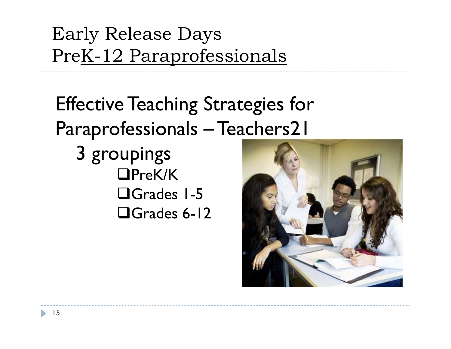# Early Release Days PreK-12 Paraprofessionals

# Effective Teaching Strategies for Paraprofessionals – Teachers21

3 groupings □PreK/K Grades 1-5Grades 6-12

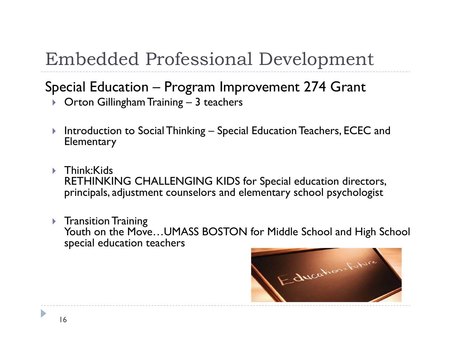# Embedded Professional Development

#### Special Education – Program Improvement 274 Grant

- $\blacktriangleright$   $\;$  Orton Gillingham Training 3 teachers
- $\blacktriangleright$  Introduction to Social Thinking – Special Education Teachers, ECEC and **Elementary**
- ▶ Think:Kids RETHINKING CHALLENGING KIDS for Special education directors, principals, adjustment counselors and elementary school psychologist
- $\blacktriangleright$  Transition Training Youth on the Move…UMASS BOSTON for Middle School and High School special education teachers

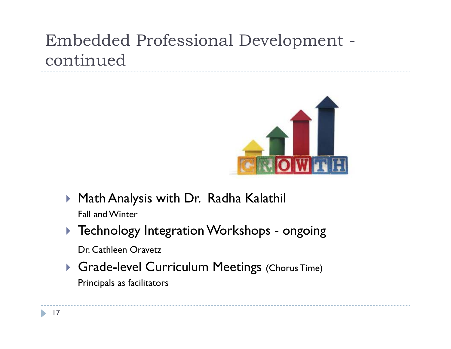## Embedded Professional Development continued



- $\blacktriangleright$  Math Analysis with Dr. Radha Kalathil Fall and Winter
- $\blacktriangleright$  Technology Integration Workshops ongoing

Dr. Cathleen Oravetz

**Sande-level Curriculum Meetings** (Chorus Time) Principals as facilitators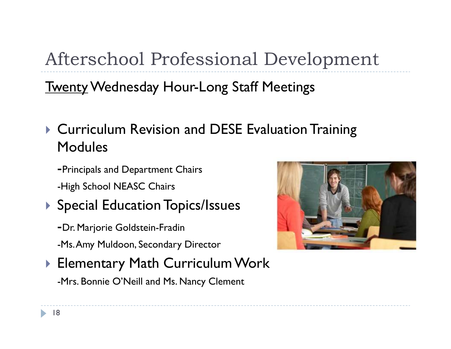Afterschool Professional Development

**Twenty Wednesday Hour-Long Staff Meetings** 

- **Curriculum Revision and DESE Evaluation Training** Modules
	- -Principals and Department Chairs -High School NEASC Chairs
- $\blacktriangleright$  Special Education Topics/Issues
	- -Dr. Marjorie Goldstein-Fradin
	- -Ms. Amy Muldoon, Secondary Director
- $\blacktriangleright$  Elementary Math Curriculum Work

-Mrs. Bonnie O'Neill and Ms. Nancy Clement

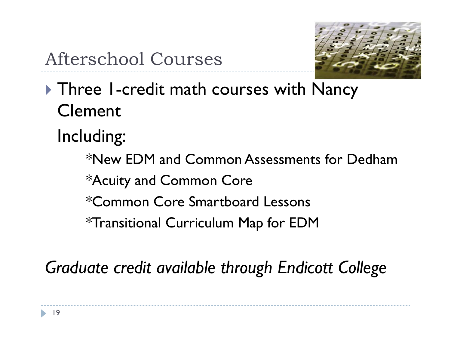

- $\blacktriangleright$  Three 1-credit math courses with Nancy Clement
	- Including:

\*New EDM and Common Assessments for Dedham\*Acuity and Common Core \*Common Core Smartboard Lessons\*Transitional Curriculum Map for EDM

*Graduate credit available through Endicott College*